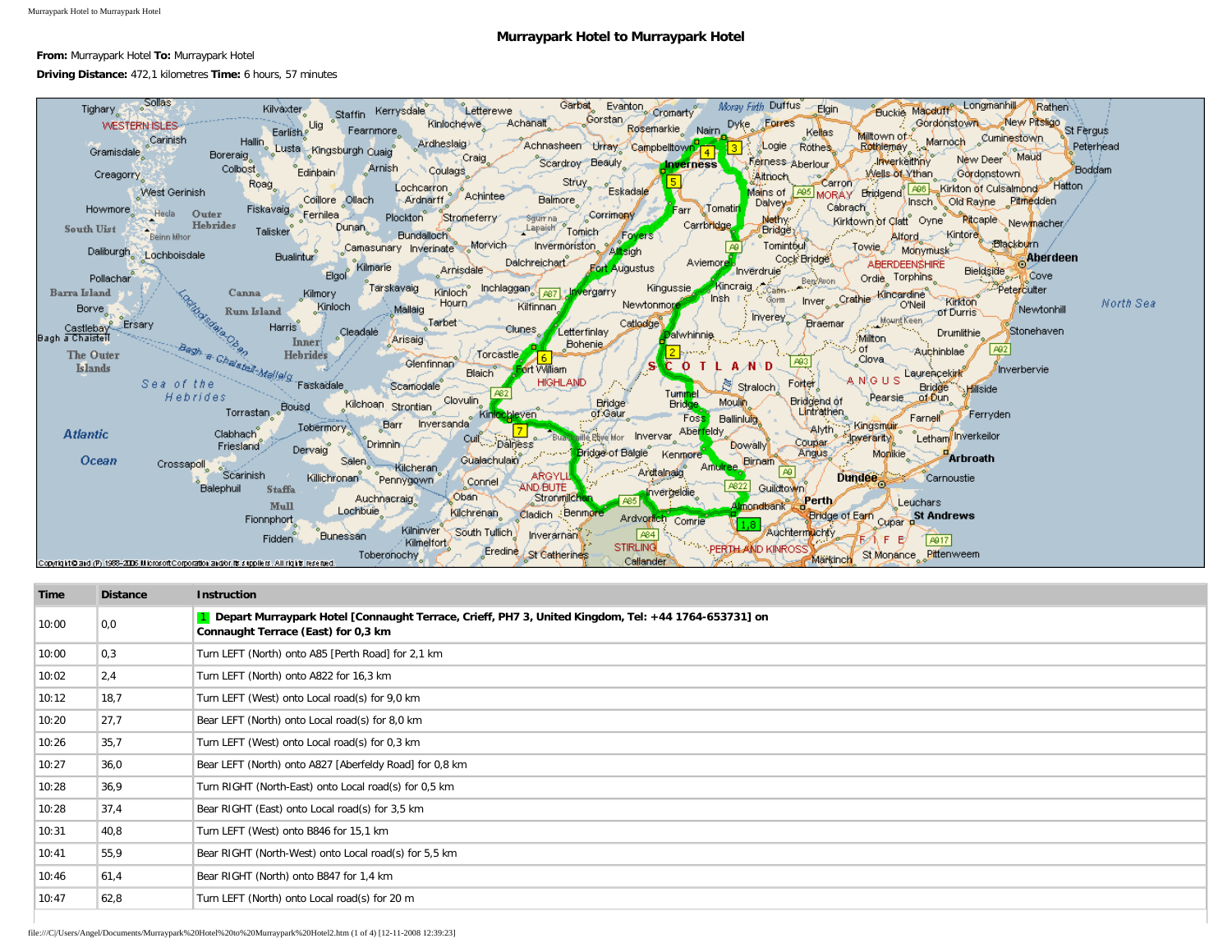## **Murraypark Hotel to Murraypark Hotel**

**From:** Murraypark Hotel **To:** Murraypark Hotel

## **Driving Distance:** 472,1 kilometres **Time:** 6 hours, 57 minutes



| Time  | <b>Distance</b> | <b>Instruction</b>                                                                                                                         |
|-------|-----------------|--------------------------------------------------------------------------------------------------------------------------------------------|
| 10:00 | 0,0             | Depart Murraypark Hotel [Connaught Terrace, Crieff, PH7 3, United Kingdom, Tel: +44 1764-653731] on<br>Connaught Terrace (East) for 0,3 km |
| 10:00 | 0,3             | Turn LEFT (North) onto A85 [Perth Road] for 2,1 km                                                                                         |
| 10:02 | 2,4             | Turn LEFT (North) onto A822 for 16,3 km                                                                                                    |
| 10:12 | 18,7            | Turn LEFT (West) onto Local road(s) for 9,0 km                                                                                             |
| 10:20 | 27,7            | Bear LEFT (North) onto Local road(s) for 8,0 km                                                                                            |
| 10:26 | 35,7            | Turn LEFT (West) onto Local road(s) for 0,3 km                                                                                             |
| 10:27 | 36,0            | Bear LEFT (North) onto A827 [Aberfeldy Road] for 0,8 km                                                                                    |
| 10:28 | 36,9            | Turn RIGHT (North-East) onto Local road(s) for 0,5 km                                                                                      |
| 10:28 | 37,4            | Bear RIGHT (East) onto Local road(s) for 3,5 km                                                                                            |
| 10:31 | 40,8            | Turn LEFT (West) onto B846 for 15,1 km                                                                                                     |
| 10:41 | 55,9            | Bear RIGHT (North-West) onto Local road(s) for 5,5 km                                                                                      |
| 10:46 | 61,4            | Bear RIGHT (North) onto B847 for 1,4 km                                                                                                    |
| 10:47 | 62,8            | Turn LEFT (North) onto Local road(s) for 20 m                                                                                              |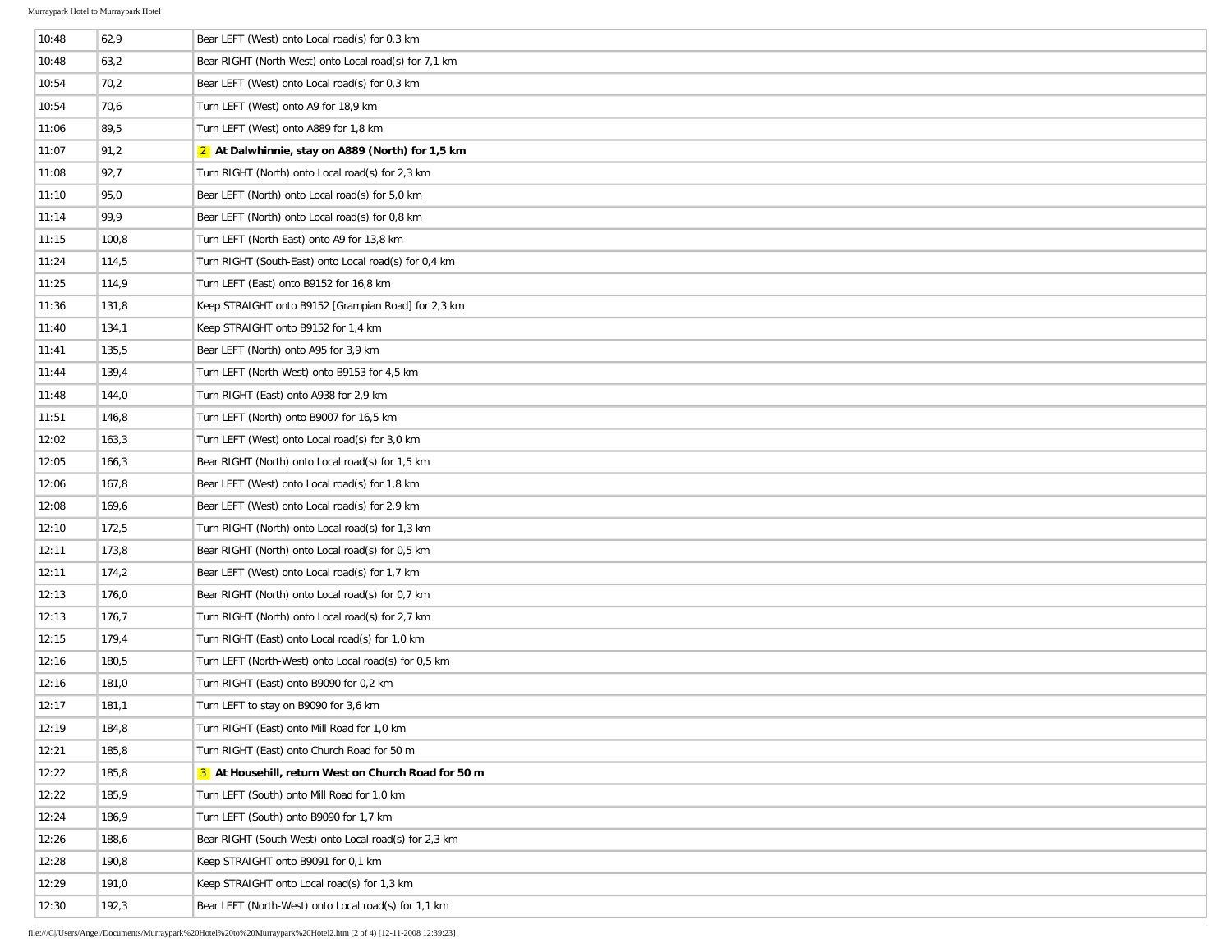| 10:48 | 62,9  | Bear LEFT (West) onto Local road(s) for 0,3 km        |
|-------|-------|-------------------------------------------------------|
| 10:48 | 63,2  | Bear RIGHT (North-West) onto Local road(s) for 7,1 km |
| 10:54 | 70,2  | Bear LEFT (West) onto Local road(s) for 0.3 km        |
| 10:54 | 70,6  | Turn LEFT (West) onto A9 for 18,9 km                  |
| 11:06 | 89,5  | Turn LEFT (West) onto A889 for 1,8 km                 |
| 11:07 | 91,2  | 2 At Dalwhinnie, stay on A889 (North) for 1,5 km      |
| 11:08 | 92,7  | Turn RIGHT (North) onto Local road(s) for 2,3 km      |
| 11:10 | 95,0  | Bear LEFT (North) onto Local road(s) for 5,0 km       |
| 11:14 | 99,9  | Bear LEFT (North) onto Local road(s) for 0,8 km       |
| 11:15 | 100,8 | Turn LEFT (North-East) onto A9 for 13,8 km            |
| 11:24 | 114,5 | Turn RIGHT (South-East) onto Local road(s) for 0,4 km |
| 11:25 | 114,9 | Turn LEFT (East) onto B9152 for 16,8 km               |
| 11:36 | 131,8 | Keep STRAIGHT onto B9152 [Grampian Road] for 2,3 km   |
| 11:40 | 134,1 | Keep STRAIGHT onto B9152 for 1,4 km                   |
| 11:41 | 135,5 | Bear LEFT (North) onto A95 for 3,9 km                 |
| 11:44 | 139,4 | Turn LEFT (North-West) onto B9153 for 4,5 km          |
| 11:48 | 144,0 | Turn RIGHT (East) onto A938 for 2,9 km                |
| 11:51 | 146,8 | Turn LEFT (North) onto B9007 for 16,5 km              |
| 12:02 | 163,3 | Turn LEFT (West) onto Local road(s) for 3,0 km        |
| 12:05 | 166,3 | Bear RIGHT (North) onto Local road(s) for 1,5 km      |
| 12:06 | 167,8 | Bear LEFT (West) onto Local road(s) for 1,8 km        |
| 12:08 | 169,6 | Bear LEFT (West) onto Local road(s) for 2,9 km        |
| 12:10 | 172,5 | Turn RIGHT (North) onto Local road(s) for 1,3 km      |
| 12:11 | 173,8 | Bear RIGHT (North) onto Local road(s) for 0.5 km      |
| 12:11 | 174,2 | Bear LEFT (West) onto Local road(s) for 1,7 km        |
| 12:13 | 176,0 | Bear RIGHT (North) onto Local road(s) for 0,7 km      |
| 12:13 | 176,7 | Turn RIGHT (North) onto Local road(s) for 2,7 km      |
| 12:15 | 179,4 | Turn RIGHT (East) onto Local road(s) for 1,0 km       |
| 12:16 | 180,5 | Turn LEFT (North-West) onto Local road(s) for 0,5 km  |
| 12:16 | 181,0 | Turn RIGHT (East) onto B9090 for 0,2 km               |
| 12:17 | 181,1 | Turn LEFT to stay on B9090 for 3,6 km                 |
| 12:19 | 184,8 | Turn RIGHT (East) onto Mill Road for 1,0 km           |
| 12:21 | 185,8 | Turn RIGHT (East) onto Church Road for 50 m           |
| 12:22 | 185,8 | 3 At Househill, return West on Church Road for 50 m   |
| 12:22 | 185,9 | Turn LEFT (South) onto Mill Road for 1,0 km           |
| 12:24 | 186,9 | Turn LEFT (South) onto B9090 for 1,7 km               |
| 12:26 | 188,6 | Bear RIGHT (South-West) onto Local road(s) for 2,3 km |
| 12:28 | 190,8 | Keep STRAIGHT onto B9091 for 0,1 km                   |
| 12:29 | 191,0 | Keep STRAIGHT onto Local road(s) for 1,3 km           |
| 12:30 | 192,3 | Bear LEFT (North-West) onto Local road(s) for 1,1 km  |
|       |       |                                                       |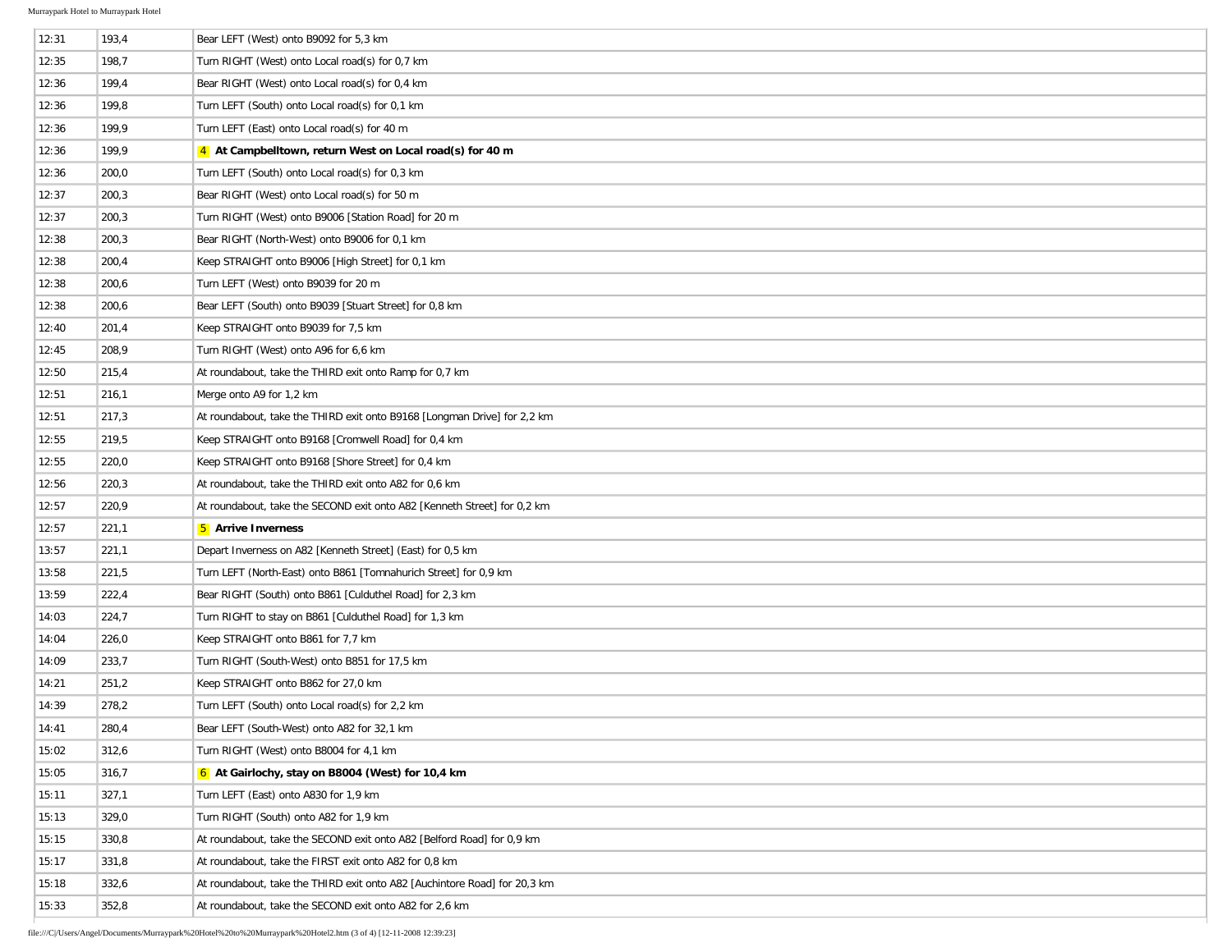k.

| 12:31 | 193,4 | Bear LEFT (West) onto B9092 for 5,3 km                                    |
|-------|-------|---------------------------------------------------------------------------|
| 12:35 | 198,7 | Turn RIGHT (West) onto Local road(s) for 0,7 km                           |
| 12:36 | 199,4 | Bear RIGHT (West) onto Local road(s) for 0,4 km                           |
| 12:36 | 199,8 | Turn LEFT (South) onto Local road(s) for 0,1 km                           |
| 12:36 | 199,9 | Turn LEFT (East) onto Local road(s) for 40 m                              |
| 12:36 | 199,9 | 4 At Campbelltown, return West on Local road(s) for 40 m                  |
| 12:36 | 200,0 | Turn LEFT (South) onto Local road(s) for 0,3 km                           |
| 12:37 | 200,3 | Bear RIGHT (West) onto Local road(s) for 50 m                             |
| 12:37 | 200,3 | Turn RIGHT (West) onto B9006 [Station Road] for 20 m                      |
| 12:38 | 200,3 | Bear RIGHT (North-West) onto B9006 for 0,1 km                             |
| 12:38 | 200,4 | Keep STRAIGHT onto B9006 [High Street] for 0,1 km                         |
| 12:38 | 200,6 | Turn LEFT (West) onto B9039 for 20 m                                      |
| 12:38 | 200,6 | Bear LEFT (South) onto B9039 [Stuart Street] for 0,8 km                   |
| 12:40 | 201,4 | Keep STRAIGHT onto B9039 for 7,5 km                                       |
| 12:45 | 208,9 | Turn RIGHT (West) onto A96 for 6,6 km                                     |
| 12:50 | 215,4 | At roundabout, take the THIRD exit onto Ramp for 0,7 km                   |
| 12:51 | 216,1 | Merge onto A9 for 1,2 km                                                  |
| 12:51 | 217,3 | At roundabout, take the THIRD exit onto B9168 [Longman Drive] for 2,2 km  |
| 12:55 | 219,5 | Keep STRAIGHT onto B9168 [Cromwell Road] for 0,4 km                       |
| 12:55 | 220,0 | Keep STRAIGHT onto B9168 [Shore Street] for 0,4 km                        |
| 12:56 | 220,3 | At roundabout, take the THIRD exit onto A82 for 0,6 km                    |
| 12:57 | 220,9 | At roundabout, take the SECOND exit onto A82 [Kenneth Street] for 0,2 km  |
| 12:57 | 221,1 | <b>5</b> Arrive Inverness                                                 |
| 13:57 | 221,1 | Depart Inverness on A82 [Kenneth Street] (East) for 0,5 km                |
| 13:58 | 221,5 | Turn LEFT (North-East) onto B861 [Tomnahurich Street] for 0,9 km          |
| 13:59 | 222,4 | Bear RIGHT (South) onto B861 [Culduthel Road] for 2,3 km                  |
| 14:03 | 224,7 | Turn RIGHT to stay on B861 [Culduthel Road] for 1,3 km                    |
| 14:04 | 226,0 | Keep STRAIGHT onto B861 for 7,7 km                                        |
| 14:09 | 233,7 | Turn RIGHT (South-West) onto B851 for 17,5 km                             |
| 14:21 | 251,2 | Keep STRAIGHT onto B862 for 27,0 km                                       |
| 14:39 | 278,2 | Turn LEFT (South) onto Local road(s) for 2,2 km                           |
| 14:41 | 280,4 | Bear LEFT (South-West) onto A82 for 32,1 km                               |
| 15:02 | 312,6 | Turn RIGHT (West) onto B8004 for 4,1 km                                   |
| 15:05 | 316,7 | 6 At Gairlochy, stay on B8004 (West) for 10,4 km                          |
| 15:11 | 327,1 | Turn LEFT (East) onto A830 for 1,9 km                                     |
| 15:13 | 329,0 | Turn RIGHT (South) onto A82 for 1,9 km                                    |
| 15:15 | 330,8 | At roundabout, take the SECOND exit onto A82 [Belford Road] for 0,9 km    |
| 15:17 | 331,8 | At roundabout, take the FIRST exit onto A82 for 0,8 km                    |
| 15:18 | 332,6 | At roundabout, take the THIRD exit onto A82 [Auchintore Road] for 20,3 km |
| 15:33 | 352,8 | At roundabout, take the SECOND exit onto A82 for 2,6 km                   |
|       |       |                                                                           |